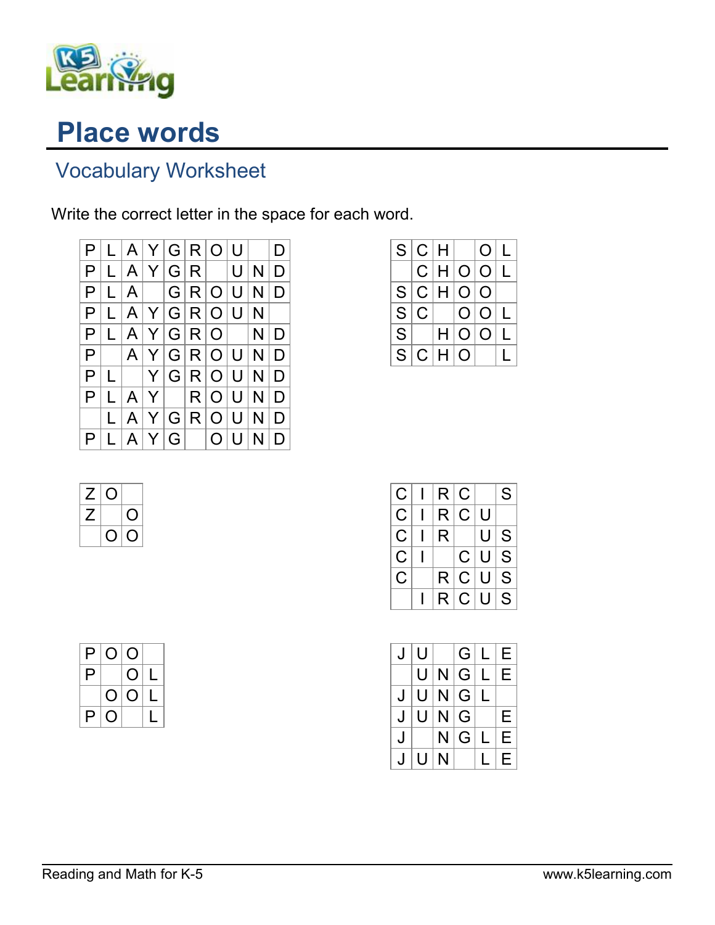

## Place words

## Vocabulary Worksheet

Write the correct letter in the space for each word.



|                         | S C H          |     |                | $\Omega$       |  |
|-------------------------|----------------|-----|----------------|----------------|--|
|                         |                | C H | O/O            |                |  |
|                         |                |     | S C H O O      |                |  |
| S                       | $\overline{C}$ |     | $\overline{O}$ | $\overline{O}$ |  |
| $\overline{\mathbf{S}}$ |                | H   | $\Omega$       | O              |  |
| $S_{\cdot}$             |                | C H | O              |                |  |



| С | R. | $\overline{\mathsf{C}}$ |     | S |
|---|----|-------------------------|-----|---|
| С | R. | C.                      | U   |   |
| С | R  |                         | U   | S |
| C |    | C U                     |     | S |
| C | R. | C U                     |     | S |
|   | R. | C.                      | l U | S |

| J | U |   | G             |   | Е |
|---|---|---|---------------|---|---|
|   | U | N | G             |   | Е |
| J | U | N | ${\mathsf G}$ | L |   |
| J | U | N | G             |   | Е |
| J |   | N | G             |   | Е |
|   | U | N |               |   | Е |

| P | O <sup>1</sup> | $\overline{O}$ |              |
|---|----------------|----------------|--------------|
| P |                | O              | $\mathsf{L}$ |
|   | O.             | $\overline{O}$ | L            |
| P | $\mathsf{O}$   |                | Ù            |